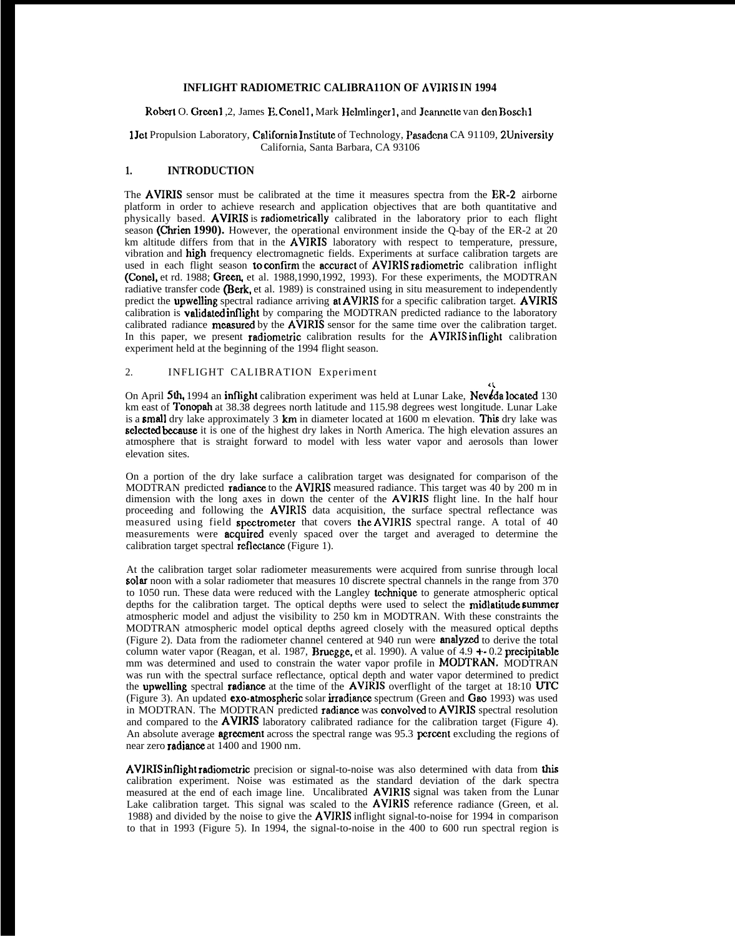## **INFLIGHT RADIOMETRIC CALIBRA11ON OF AVIRIS IN 1994**

#### Robert O. Green1, 2, James E. Conel1, Mark Helmlinger1, and Jeannette van den Bosch1

#### 1Jet Propulsion Laboratory, California Institute of Technology, Pasadena CA 91109, 2University California, Santa Barbara, CA 93106

#### **1. INTRODUCTION**

The AVIRIS sensor must be calibrated at the time it measures spectra from the ER-2 airborne platform in order to achieve research and application objectives that are both quantitative and physically based. AVIRIS is radiometrically calibrated in the laboratory prior to each flight season (Chrien 1990). However, the operational environment inside the Q-bay of the ER-2 at 20 km altitude differs from that in the AVIRIS laboratory with respect to temperature, pressure, vibration and high frequency electromagnetic fields. Experiments at surface calibration targets are used in each flight season to confirm the accuract of AVIRIS radiometric calibration inflight (Conel, et rd. 1988; Green, et al. 1988,1990,1992, 1993). For these experiments, the MODTRAN radiative transfer code (Berk, et al. 1989) is constrained using in situ measurement to independently predict the upwelling spectral radiance arriving at AVIRIS for a specific calibration target. AVIRIS calibration is validated inflight by comparing the MODTRAN predicted radiance to the laboratory calibrated radiance measured by the AVIRIS sensor for the same time over the calibration target. In this paper, we present radiometric calibration results for the AVIRIS inflight calibration experiment held at the beginning of the 1994 flight season.

## 2. INFLIGHT CALIBRATION Experiment

On April 5th, 1994 an inflight calibration experiment was held at Lunar Lake, Nevéda located 130 km east of Tonopah at 38.38 degrees north latitude and 115.98 degrees west longitude. Lunar Lake is a small dry lake approximately  $3 \text{ km}$  in diameter located at  $1600 \text{ m}$  elevation. This dry lake was selected because it is one of the highest dry lakes in North America. The high elevation assures an atmosphere that is straight forward to model with less water vapor and aerosols than lower elevation sites.

 $\mathfrak{c}$ 

On a portion of the dry lake surface a calibration target was designated for comparison of the MODTRAN predicted **radiance** to the **AVIRIS** measured radiance. This target was 40 by 200 m in dimension with the long axes in down the center of the AVIRJS flight line. In the half hour proceeding and following the AVIRIS data acquisition, the surface spectral reflectance was measured using field spectrometer that covers the AVIRIS spectral range. A total of 40 measurements were **acquired** evenly spaced over the target and averaged to determine the calibration target spectral **reflectance** (Figure 1).

At the calibration target solar radiometer measurements were acquired from sunrise through local solar noon with a solar radiometer that measures 10 discrete spectral channels in the range from 370 to 1050 run. These data were reduced with the Langley technique to generate atmospheric optical depths for the calibration target. The optical depths were used to select the midlatitude summer atmospheric model and adjust the visibility to 250 km in MODTRAN. With these constraints the MODTRAN atmospheric model optical depths agreed closely with the measured optical depths (Figure 2). Data from the radiometer channel centered at 940 run were anafyzcd to derive the total column water vapor (Reagan, et al. 1987, Bruegge, et al. 1990). A value of 4.9 +- 0.2 precipitable mm was determined and used to constrain the water vapor profile in MODTRAN. MODTRAN was run with the spectral surface reflectance, optical depth and water vapor determined to predict the upwelling spectral radiance at the time of the AVIRIS overflight of the target at  $18:10$  UTC (Figure 3). An updated exo-atrnospheric solar irradiance spectrum (Green and Gao 1993) was used in MODTRAN. The MODTRAN predicted radiance was convolved to AVIRIS spectral resolution and compared to the **AVIRIS** laboratory calibrated radiance for the calibration target (Figure 4). An absolute average **agreement** across the spectral range was 95.3 percent excluding the regions of near zero **radiance** at 1400 and 1900 nm.

AVJRIS inflight radiometric precision or signal-to-noise was also determined with data from this calibration experiment. Noise was estimated as the standard deviation of the dark spectra measured at the end of each image line. Uncalibrated **AVIRIS** signal was taken from the Lunar Lake calibration target. This signal was scaled to the **AVIRIS** reference radiance (Green, et al. 1988) and divided by the noise to give the AVIRIS inflight signal-to-noise for 1994 in comparison to that in 1993 (Figure 5). In 1994, the signal-to-noise in the 400 to 600 run spectral region is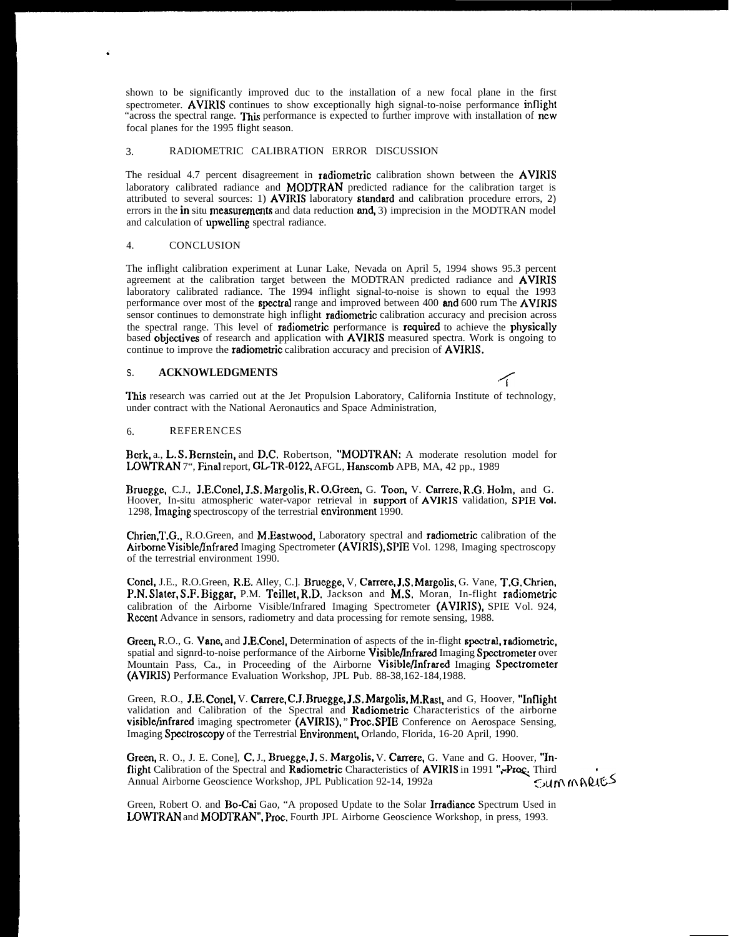shown to be significantly improved duc to the installation of a new focal plane in the first spectrometer. AVIRIS continues to show exceptionally high signal-to-noise performance inflight "across the spectral range. This performance is expected to further improve with installation of ncw focal planes for the 1995 flight season.

## 3. RADIOMETRIC CALIBRATION ERROR DISCUSSION

The residual 4.7 percent disagreement in radiometric calibration shown between the AVIRIS laboratory calibrated radiance and **MODTRAN** predicted radiance for the calibration target is attributed to several sources: 1) AVIRIS laboratory standard and calibration procedure errors, 2) errors in the in situ measurements and data reduction and, 3) imprecision in the MODTRAN model and calculation of upwclling spectral radiance.

#### 4. CONCLUSION

.

The inflight calibration experiment at Lunar Lake, Nevada on April 5, 1994 shows 95.3 percent agreement at the calibration target between the MODTRAN predicted radiance and AVIRIS laboratory calibrated radiance. The 1994 inflight signal-to-noise is shown to equal the 1993 performance over most of the **spectral** range and improved between 400 **and** 600 rum The **AVIRIS** sensor continues to demonstrate high inflight *radiometric* calibration accuracy and precision across the spectral range. This level of radiometric performance is required to achieve the physically based objectives of research and application with AVIRIS measured spectra. Work is ongoing to continue to improve the **radiometric** calibration accuracy and precision of **AVIRIS.** 

## s. **ACKNOWLEDGMENTS <**

This research was carried out at the Jet Propulsion Laboratory, California Institute of technology, under contract with the National Aeronautics and Space Administration,

#### 6. REFERENCES

Berk, a., L. S. Bernstein, and D.C. Robertson, "MODTRAN: A moderate resolution model for LOWTRAN 7", Final report, GL-TR-0122, AFGL, Hanscomb APB, MA, 42 pp., 1989

Bruegge, C.J., J.E.Concl, J.S. Margolis, R. O.Green, G. Toon, V. Carrere, R.G. Holm, and G. Hoover, In-situ atmospheric water-vapor retrieval in supporl of AVIRIS validation, **SPIE Vol.** 1298, Imaging spectroscopy of the terrestrial environment 1990.

Chricn,T.G., R.O.Green, and M.Eastwood, Laboratory spectral and radiometric calibration of the Airborne Visible/Infrared Imaging Spectrometer (AVIRIS), SPIE Vol. 1298, Imaging spectroscopy of the terrestrial environment 1990.

Concl, J.E., R.O.Green, R.E. Alley, C.]. Bruegge, V, Carrcrc, J.S. Margolis, G. Vane, T.G. Chrien, P.N. Slater, S.F. Biggar, P.M. Teillet, R.D, Jackson and M.S, Moran, In-flight radiometric calibration of the Airborne Visible/Infrared Imaging Spectrometer (AVIRIS), SPIE Vol. 924, Recent Advance in sensors, radiometry and data processing for remote sensing, 1988.

Green, R.O., G. Vane, and J.E.Conel, Determination of aspects of the in-flight spectral, radiometric, spatial and signrd-to-noise performance of the Airborne Visible/Infrared Imaging Spectrometer over Mountain Pass, Ca., in Proceeding of the Airborne Visible/Infrared Imaging Spectrometer (AVIRIS) Performance Evaluation Workshop, JPL Pub. 88-38,162-184,1988.

Green, R.O., J.E. Conel, V. Carrere, C.J. Bruegge, J.S. Margolis, M.Rast, and G, Hoover, "Inflight validation and Calibration of the Spectral and Radiomctric Characteristics of the airborne visiblcfinfrarcd imaging spectrometer (AVIRIS), " Proc. SPIE Conference on Aerospace Sensing, Imaging Spectroscopy of the Terrestrial Environment, Orlando, Florida, 16-20 April, 1990.

Green, R. O., J. E. Cone], C. J., Bruegge, J. S. Margolis, V. Carrere, G. Vane and G. Hoover, "Inflight Calibration of the Spectral and Radiometric Characteristics of AVIRIS in 1991 ",-Proc. Third<br>Annual Airborne Geoscience Workshop, JPL Publication 92-14, 1992a Annual Airborne Geoscience Workshop, JPL Publication 92-14, 1992a

Green, Robert O. and Bo-Cai Gao, "A proposed Update to the Solar Irradiance Spectrum Used in LOWTRAN and MODTRAN", Proc. Fourth JPL Airborne Geoscience Workshop, in press, 1993.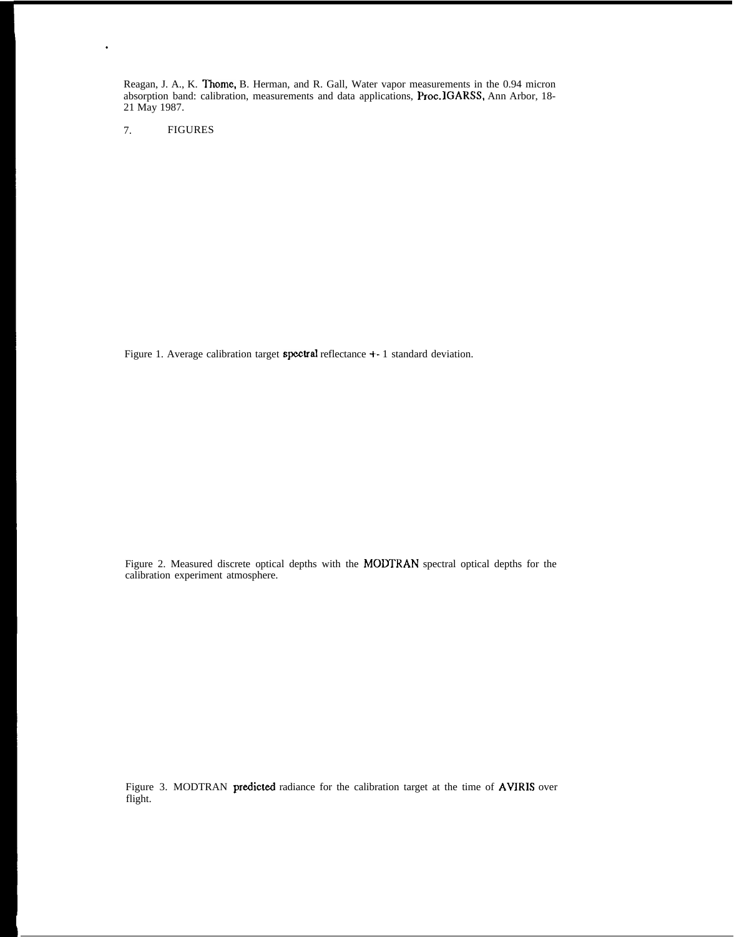Reagan, J. A., K. Thomc, B. Herman, and R. Gall, Water vapor measurements in the 0.94 micron absorption band: calibration, measurements and data applications, Proc. lGARSS, Ann Arbor, 18- 21 May 1987.

7. FIGURES

.

Figure 1. Average calibration target spectral reflectance +- 1 standard deviation.

Figure 2. Measured discrete optical depths with the MODTRAN spectral optical depths for the calibration experiment atmosphere.

Figure 3. MODTRAN predicted radiance for the calibration target at the time of AVIRIS over flight.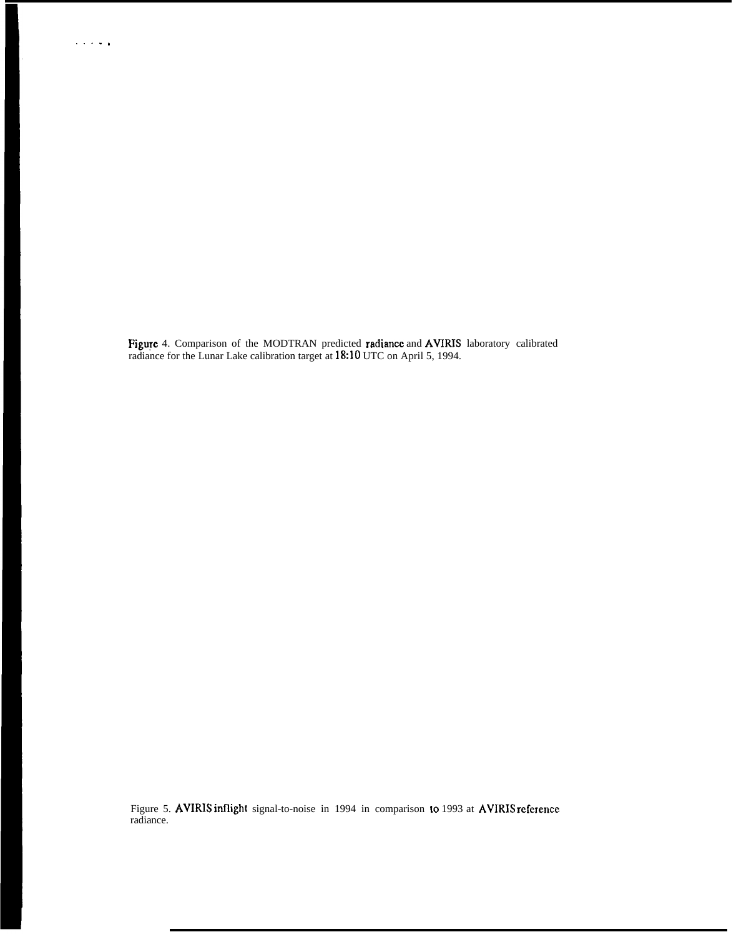Figure 4. Comparison of the MODTRAN predicted radiance and AVIRIS laboratory calibrated radiance for the Lunar Lake calibration target at 18:10 UTC on April 5, 1994.

Figure 5. **AVIRIS inflight** signal-to-noise in 1994 in comparison to 1993 at **AVIRIS reference** radiance.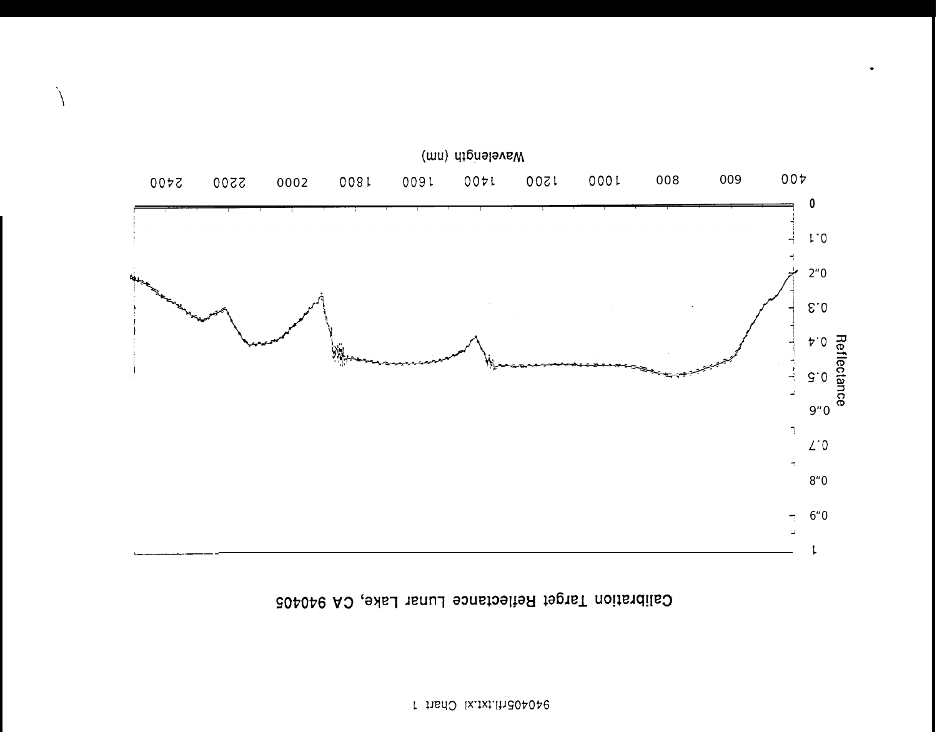## Calibration Target Reflectance Lunar Lake, CA 940405



À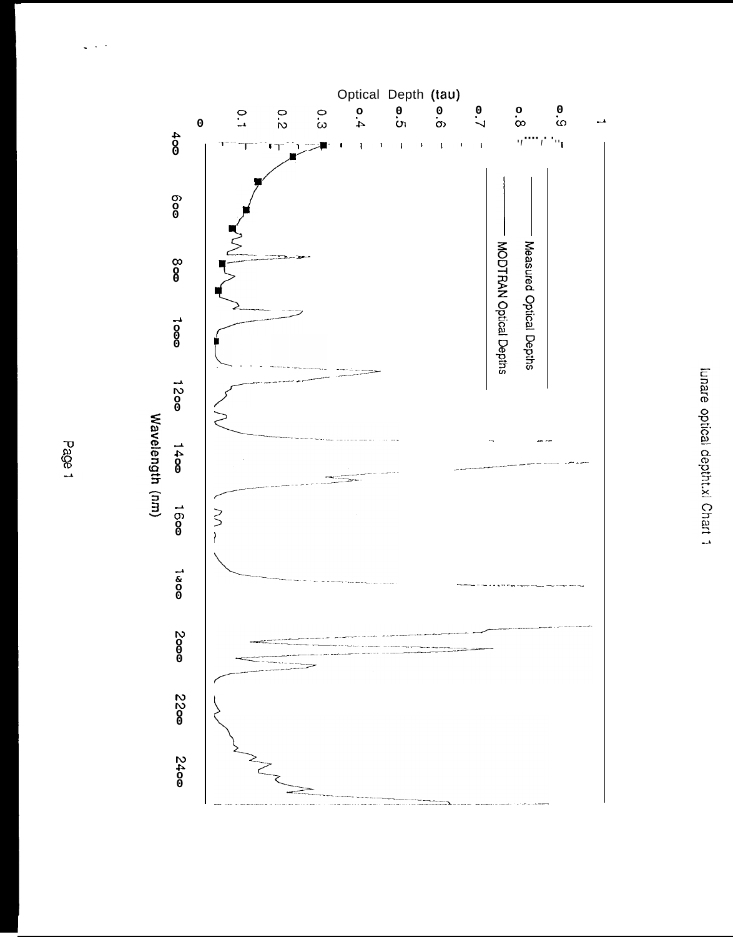

 $\omega_{\rm c} \sim 10^{-1}$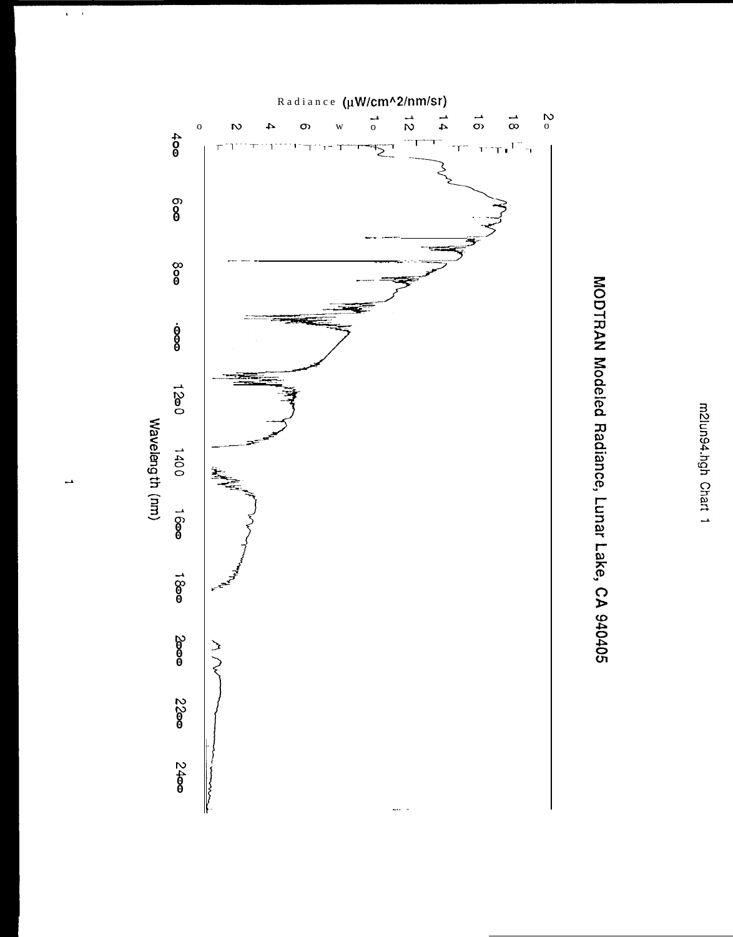



m2lun94.hgh Chart 1

 $\mathbf{v} = \mathbf{v}$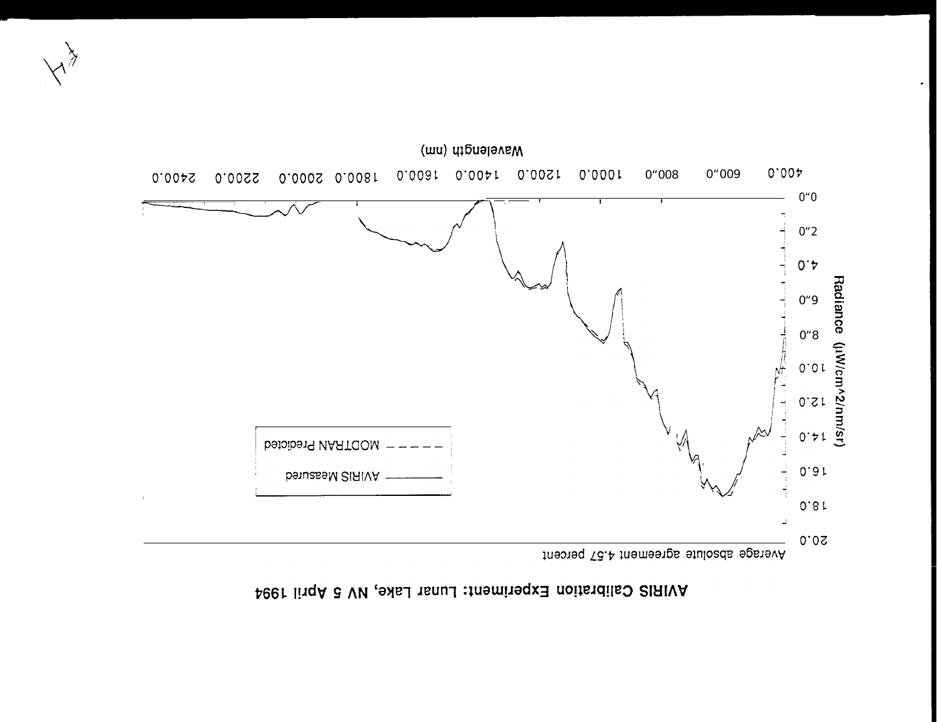